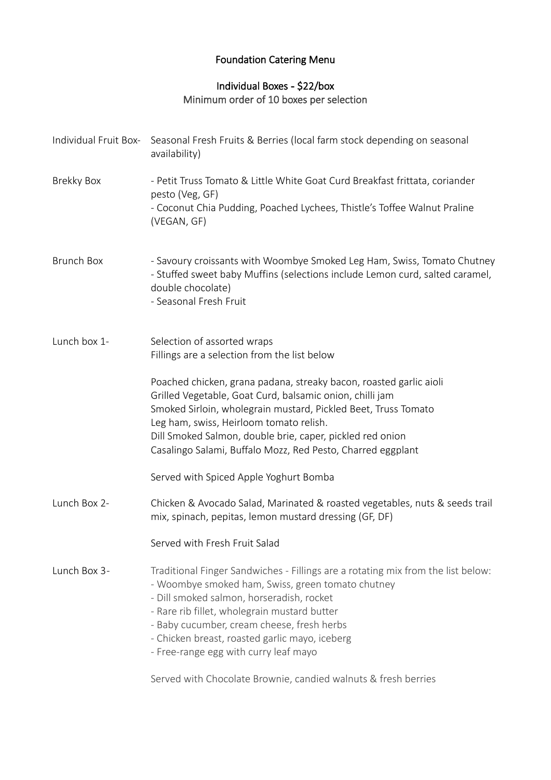# Foundation Catering Menu

## Individual Boxes **-** \$22/box Minimum order of 10 boxes per selection

|                   | Individual Fruit Box- Seasonal Fresh Fruits & Berries (local farm stock depending on seasonal<br>availability)                                                                                                                                                                                                                                                              |
|-------------------|-----------------------------------------------------------------------------------------------------------------------------------------------------------------------------------------------------------------------------------------------------------------------------------------------------------------------------------------------------------------------------|
| <b>Brekky Box</b> | - Petit Truss Tomato & Little White Goat Curd Breakfast frittata, coriander<br>pesto (Veg, GF)<br>- Coconut Chia Pudding, Poached Lychees, Thistle's Toffee Walnut Praline<br>(VEGAN, GF)                                                                                                                                                                                   |
| <b>Brunch Box</b> | - Savoury croissants with Woombye Smoked Leg Ham, Swiss, Tomato Chutney<br>- Stuffed sweet baby Muffins (selections include Lemon curd, salted caramel,<br>double chocolate)<br>- Seasonal Fresh Fruit                                                                                                                                                                      |
| Lunch box 1-      | Selection of assorted wraps<br>Fillings are a selection from the list below                                                                                                                                                                                                                                                                                                 |
|                   | Poached chicken, grana padana, streaky bacon, roasted garlic aioli<br>Grilled Vegetable, Goat Curd, balsamic onion, chilli jam<br>Smoked Sirloin, wholegrain mustard, Pickled Beet, Truss Tomato<br>Leg ham, swiss, Heirloom tomato relish.<br>Dill Smoked Salmon, double brie, caper, pickled red onion<br>Casalingo Salami, Buffalo Mozz, Red Pesto, Charred eggplant     |
|                   | Served with Spiced Apple Yoghurt Bomba                                                                                                                                                                                                                                                                                                                                      |
| Lunch Box 2-      | Chicken & Avocado Salad, Marinated & roasted vegetables, nuts & seeds trail<br>mix, spinach, pepitas, lemon mustard dressing (GF, DF)                                                                                                                                                                                                                                       |
|                   | Served with Fresh Fruit Salad                                                                                                                                                                                                                                                                                                                                               |
| Lunch Box 3-      | Traditional Finger Sandwiches - Fillings are a rotating mix from the list below:<br>- Woombye smoked ham, Swiss, green tomato chutney<br>- Dill smoked salmon, horseradish, rocket<br>- Rare rib fillet, wholegrain mustard butter<br>- Baby cucumber, cream cheese, fresh herbs<br>- Chicken breast, roasted garlic mayo, iceberg<br>- Free-range egg with curry leaf mayo |

Served with Chocolate Brownie, candied walnuts & fresh berries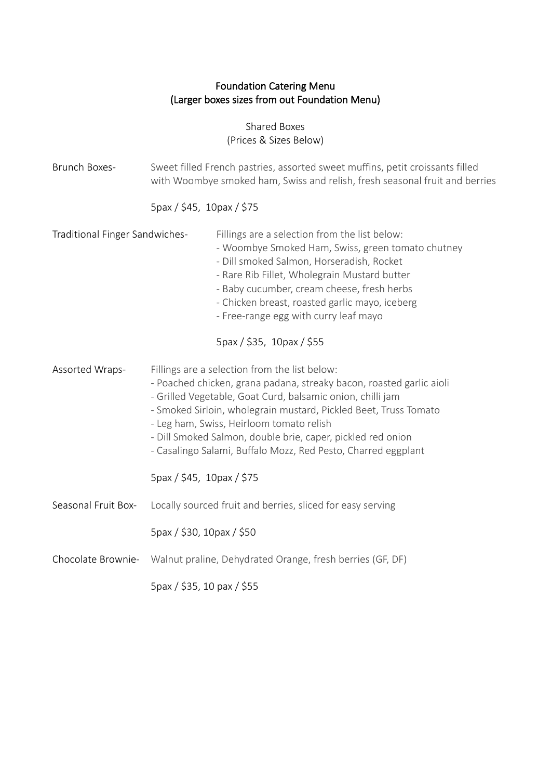## Foundation Catering Menu (Larger boxes sizes from out Foundation Menu)

Shared Boxes (Prices & Sizes Below)

| Brunch Boxes-                  | Sweet filled French pastries, assorted sweet muffins, petit croissants filled<br>with Woombye smoked ham, Swiss and relish, fresh seasonal fruit and berries                                                                                                                                                                                                                                                                                                     |
|--------------------------------|------------------------------------------------------------------------------------------------------------------------------------------------------------------------------------------------------------------------------------------------------------------------------------------------------------------------------------------------------------------------------------------------------------------------------------------------------------------|
|                                | 5pax / \$45, 10pax / \$75                                                                                                                                                                                                                                                                                                                                                                                                                                        |
| Traditional Finger Sandwiches- | Fillings are a selection from the list below:<br>- Woombye Smoked Ham, Swiss, green tomato chutney<br>- Dill smoked Salmon, Horseradish, Rocket<br>- Rare Rib Fillet, Wholegrain Mustard butter<br>- Baby cucumber, cream cheese, fresh herbs<br>- Chicken breast, roasted garlic mayo, iceberg<br>- Free-range egg with curry leaf mayo<br>5pax / \$35, 10pax / \$55                                                                                            |
| Assorted Wraps-                | Fillings are a selection from the list below:<br>- Poached chicken, grana padana, streaky bacon, roasted garlic aioli<br>- Grilled Vegetable, Goat Curd, balsamic onion, chilli jam<br>- Smoked Sirloin, wholegrain mustard, Pickled Beet, Truss Tomato<br>- Leg ham, Swiss, Heirloom tomato relish<br>- Dill Smoked Salmon, double brie, caper, pickled red onion<br>- Casalingo Salami, Buffalo Mozz, Red Pesto, Charred eggplant<br>5pax / \$45, 10pax / \$75 |
| Seasonal Fruit Box-            | Locally sourced fruit and berries, sliced for easy serving                                                                                                                                                                                                                                                                                                                                                                                                       |
|                                | 5pax / \$30, 10pax / \$50                                                                                                                                                                                                                                                                                                                                                                                                                                        |
| Chocolate Brownie-             | Walnut praline, Dehydrated Orange, fresh berries (GF, DF)                                                                                                                                                                                                                                                                                                                                                                                                        |
|                                | 5pax / \$35, 10 pax / \$55                                                                                                                                                                                                                                                                                                                                                                                                                                       |